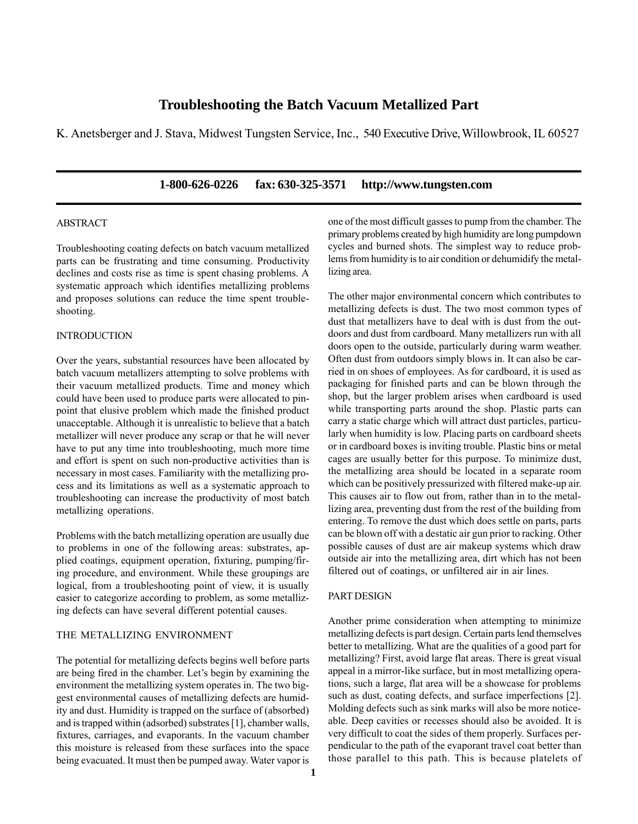# **Troubleshooting the Batch Vacuum Metallized Part**

K. Anetsberger and J. Stava, Midwest Tungsten Service, Inc., 540 Executive Drive, Willowbrook, IL 60527

## **1-800-626-0226 fax: 630-325-3571 http://www.tungsten.com**

## ABSTRACT

Troubleshooting coating defects on batch vacuum metallized parts can be frustrating and time consuming. Productivity declines and costs rise as time is spent chasing problems. A systematic approach which identifies metallizing problems and proposes solutions can reduce the time spent troubleshooting.

### INTRODUCTION

Over the years, substantial resources have been allocated by batch vacuum metallizers attempting to solve problems with their vacuum metallized products. Time and money which could have been used to produce parts were allocated to pinpoint that elusive problem which made the finished product unacceptable. Although it is unrealistic to believe that a batch metallizer will never produce any scrap or that he will never have to put any time into troubleshooting, much more time and effort is spent on such non-productive activities than is necessary in most cases. Familiarity with the metallizing process and its limitations as well as a systematic approach to troubleshooting can increase the productivity of most batch metallizing operations.

Problems with the batch metallizing operation are usually due to problems in one of the following areas: substrates, applied coatings, equipment operation, fixturing, pumping/firing procedure, and environment. While these groupings are logical, from a troubleshooting point of view, it is usually easier to categorize according to problem, as some metallizing defects can have several different potential causes.

## THE METALLIZING ENVIRONMENT

The potential for metallizing defects begins well before parts are being fired in the chamber. Let's begin by examining the environment the metallizing system operates in. The two biggest environmental causes of metallizing defects are humidity and dust. Humidity is trapped on the surface of (absorbed) and is trapped within (adsorbed) substrates [1], chamber walls, fixtures, carriages, and evaporants. In the vacuum chamber this moisture is released from these surfaces into the space being evacuated. It must then be pumped away. Water vapor is one of the most difficult gasses to pump from the chamber. The primary problems created by high humidity are long pumpdown cycles and burned shots. The simplest way to reduce problems from humidity is to air condition or dehumidify the metallizing area.

The other major environmental concern which contributes to metallizing defects is dust. The two most common types of dust that metallizers have to deal with is dust from the outdoors and dust from cardboard. Many metallizers run with all doors open to the outside, particularly during warm weather. Often dust from outdoors simply blows in. It can also be carried in on shoes of employees. As for cardboard, it is used as packaging for finished parts and can be blown through the shop, but the larger problem arises when cardboard is used while transporting parts around the shop. Plastic parts can carry a static charge which will attract dust particles, particularly when humidity is low. Placing parts on cardboard sheets or in cardboard boxes is inviting trouble. Plastic bins or metal cages are usually better for this purpose. To minimize dust, the metallizing area should be located in a separate room which can be positively pressurized with filtered make-up air. This causes air to flow out from, rather than in to the metallizing area, preventing dust from the rest of the building from entering. To remove the dust which does settle on parts, parts can be blown off with a destatic air gun prior to racking. Other possible causes of dust are air makeup systems which draw outside air into the metallizing area, dirt which has not been filtered out of coatings, or unfiltered air in air lines.

## PART DESIGN

Another prime consideration when attempting to minimize metallizing defects is part design. Certain parts lend themselves better to metallizing. What are the qualities of a good part for metallizing? First, avoid large flat areas. There is great visual appeal in a mirror-like surface, but in most metallizing operations, such a large, flat area will be a showcase for problems such as dust, coating defects, and surface imperfections [2]. Molding defects such as sink marks will also be more noticeable. Deep cavities or recesses should also be avoided. It is very difficult to coat the sides of them properly. Surfaces perpendicular to the path of the evaporant travel coat better than those parallel to this path. This is because platelets of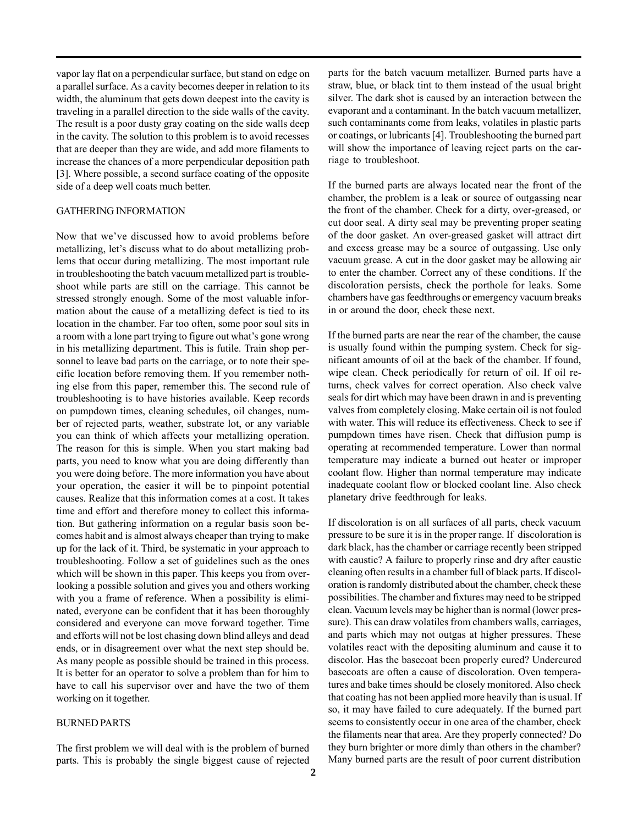vapor lay flat on a perpendicular surface, but stand on edge on a parallel surface. As a cavity becomes deeper in relation to its width, the aluminum that gets down deepest into the cavity is traveling in a parallel direction to the side walls of the cavity. The result is a poor dusty gray coating on the side walls deep in the cavity. The solution to this problem is to avoid recesses that are deeper than they are wide, and add more filaments to increase the chances of a more perpendicular deposition path [3]. Where possible, a second surface coating of the opposite side of a deep well coats much better.

#### GATHERING INFORMATION

Now that we've discussed how to avoid problems before metallizing, let's discuss what to do about metallizing problems that occur during metallizing. The most important rule in troubleshooting the batch vacuum metallized part is troubleshoot while parts are still on the carriage. This cannot be stressed strongly enough. Some of the most valuable information about the cause of a metallizing defect is tied to its location in the chamber. Far too often, some poor soul sits in a room with a lone part trying to figure out what's gone wrong in his metallizing department. This is futile. Train shop personnel to leave bad parts on the carriage, or to note their specific location before removing them. If you remember nothing else from this paper, remember this. The second rule of troubleshooting is to have histories available. Keep records on pumpdown times, cleaning schedules, oil changes, number of rejected parts, weather, substrate lot, or any variable you can think of which affects your metallizing operation. The reason for this is simple. When you start making bad parts, you need to know what you are doing differently than you were doing before. The more information you have about your operation, the easier it will be to pinpoint potential causes. Realize that this information comes at a cost. It takes time and effort and therefore money to collect this information. But gathering information on a regular basis soon becomes habit and is almost always cheaper than trying to make up for the lack of it. Third, be systematic in your approach to troubleshooting. Follow a set of guidelines such as the ones which will be shown in this paper. This keeps you from overlooking a possible solution and gives you and others working with you a frame of reference. When a possibility is eliminated, everyone can be confident that it has been thoroughly considered and everyone can move forward together. Time and efforts will not be lost chasing down blind alleys and dead ends, or in disagreement over what the next step should be. As many people as possible should be trained in this process. It is better for an operator to solve a problem than for him to have to call his supervisor over and have the two of them working on it together.

### BURNED PARTS

The first problem we will deal with is the problem of burned parts. This is probably the single biggest cause of rejected parts for the batch vacuum metallizer. Burned parts have a straw, blue, or black tint to them instead of the usual bright silver. The dark shot is caused by an interaction between the evaporant and a contaminant. In the batch vacuum metallizer, such contaminants come from leaks, volatiles in plastic parts or coatings, or lubricants [4]. Troubleshooting the burned part will show the importance of leaving reject parts on the carriage to troubleshoot.

If the burned parts are always located near the front of the chamber, the problem is a leak or source of outgassing near the front of the chamber. Check for a dirty, over-greased, or cut door seal. A dirty seal may be preventing proper seating of the door gasket. An over-greased gasket will attract dirt and excess grease may be a source of outgassing. Use only vacuum grease. A cut in the door gasket may be allowing air to enter the chamber. Correct any of these conditions. If the discoloration persists, check the porthole for leaks. Some chambers have gas feedthroughs or emergency vacuum breaks in or around the door, check these next.

If the burned parts are near the rear of the chamber, the cause is usually found within the pumping system. Check for significant amounts of oil at the back of the chamber. If found, wipe clean. Check periodically for return of oil. If oil returns, check valves for correct operation. Also check valve seals for dirt which may have been drawn in and is preventing valves from completely closing. Make certain oil is not fouled with water. This will reduce its effectiveness. Check to see if pumpdown times have risen. Check that diffusion pump is operating at recommended temperature. Lower than normal temperature may indicate a burned out heater or improper coolant flow. Higher than normal temperature may indicate inadequate coolant flow or blocked coolant line. Also check planetary drive feedthrough for leaks.

If discoloration is on all surfaces of all parts, check vacuum pressure to be sure it is in the proper range. If discoloration is dark black, has the chamber or carriage recently been stripped with caustic? A failure to properly rinse and dry after caustic cleaning often results in a chamber full of black parts. If discoloration is randomly distributed about the chamber, check these possibilities. The chamber and fixtures may need to be stripped clean. Vacuum levels may be higher than is normal (lower pressure). This can draw volatiles from chambers walls, carriages, and parts which may not outgas at higher pressures. These volatiles react with the depositing aluminum and cause it to discolor. Has the basecoat been properly cured? Undercured basecoats are often a cause of discoloration. Oven temperatures and bake times should be closely monitored. Also check that coating has not been applied more heavily than is usual. If so, it may have failed to cure adequately. If the burned part seems to consistently occur in one area of the chamber, check the filaments near that area. Are they properly connected? Do they burn brighter or more dimly than others in the chamber? Many burned parts are the result of poor current distribution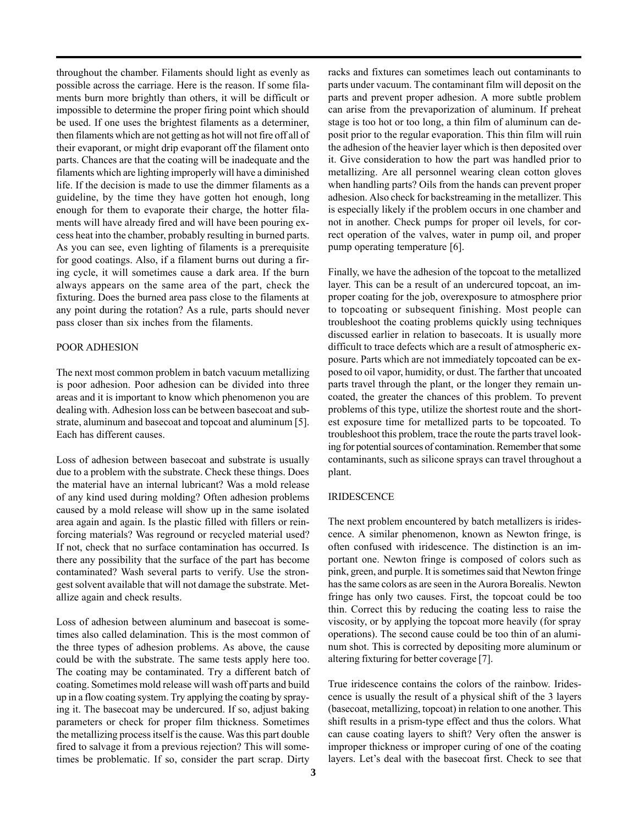throughout the chamber. Filaments should light as evenly as possible across the carriage. Here is the reason. If some filaments burn more brightly than others, it will be difficult or impossible to determine the proper firing point which should be used. If one uses the brightest filaments as a determiner, then filaments which are not getting as hot will not fire off all of their evaporant, or might drip evaporant off the filament onto parts. Chances are that the coating will be inadequate and the filaments which are lighting improperly will have a diminished life. If the decision is made to use the dimmer filaments as a guideline, by the time they have gotten hot enough, long enough for them to evaporate their charge, the hotter filaments will have already fired and will have been pouring excess heat into the chamber, probably resulting in burned parts. As you can see, even lighting of filaments is a prerequisite for good coatings. Also, if a filament burns out during a firing cycle, it will sometimes cause a dark area. If the burn always appears on the same area of the part, check the fixturing. Does the burned area pass close to the filaments at any point during the rotation? As a rule, parts should never pass closer than six inches from the filaments.

## POOR ADHESION

The next most common problem in batch vacuum metallizing is poor adhesion. Poor adhesion can be divided into three areas and it is important to know which phenomenon you are dealing with. Adhesion loss can be between basecoat and substrate, aluminum and basecoat and topcoat and aluminum [5]. Each has different causes.

Loss of adhesion between basecoat and substrate is usually due to a problem with the substrate. Check these things. Does the material have an internal lubricant? Was a mold release of any kind used during molding? Often adhesion problems caused by a mold release will show up in the same isolated area again and again. Is the plastic filled with fillers or reinforcing materials? Was reground or recycled material used? If not, check that no surface contamination has occurred. Is there any possibility that the surface of the part has become contaminated? Wash several parts to verify. Use the strongest solvent available that will not damage the substrate. Metallize again and check results.

Loss of adhesion between aluminum and basecoat is sometimes also called delamination. This is the most common of the three types of adhesion problems. As above, the cause could be with the substrate. The same tests apply here too. The coating may be contaminated. Try a different batch of coating. Sometimes mold release will wash off parts and build up in a flow coating system. Try applying the coating by spraying it. The basecoat may be undercured. If so, adjust baking parameters or check for proper film thickness. Sometimes the metallizing process itself is the cause. Was this part double fired to salvage it from a previous rejection? This will sometimes be problematic. If so, consider the part scrap. Dirty racks and fixtures can sometimes leach out contaminants to parts under vacuum. The contaminant film will deposit on the parts and prevent proper adhesion. A more subtle problem can arise from the prevaporization of aluminum. If preheat stage is too hot or too long, a thin film of aluminum can deposit prior to the regular evaporation. This thin film will ruin the adhesion of the heavier layer which is then deposited over it. Give consideration to how the part was handled prior to metallizing. Are all personnel wearing clean cotton gloves when handling parts? Oils from the hands can prevent proper adhesion. Also check for backstreaming in the metallizer. This is especially likely if the problem occurs in one chamber and not in another. Check pumps for proper oil levels, for correct operation of the valves, water in pump oil, and proper pump operating temperature [6].

Finally, we have the adhesion of the topcoat to the metallized layer. This can be a result of an undercured topcoat, an improper coating for the job, overexposure to atmosphere prior to topcoating or subsequent finishing. Most people can troubleshoot the coating problems quickly using techniques discussed earlier in relation to basecoats. It is usually more difficult to trace defects which are a result of atmospheric exposure. Parts which are not immediately topcoated can be exposed to oil vapor, humidity, or dust. The farther that uncoated parts travel through the plant, or the longer they remain uncoated, the greater the chances of this problem. To prevent problems of this type, utilize the shortest route and the shortest exposure time for metallized parts to be topcoated. To troubleshoot this problem, trace the route the parts travel looking for potential sources of contamination. Remember that some contaminants, such as silicone sprays can travel throughout a plant.

## IRIDESCENCE

The next problem encountered by batch metallizers is iridescence. A similar phenomenon, known as Newton fringe, is often confused with iridescence. The distinction is an important one. Newton fringe is composed of colors such as pink, green, and purple. It is sometimes said that Newton fringe has the same colors as are seen in the Aurora Borealis. Newton fringe has only two causes. First, the topcoat could be too thin. Correct this by reducing the coating less to raise the viscosity, or by applying the topcoat more heavily (for spray operations). The second cause could be too thin of an aluminum shot. This is corrected by depositing more aluminum or altering fixturing for better coverage [7].

True iridescence contains the colors of the rainbow. Iridescence is usually the result of a physical shift of the 3 layers (basecoat, metallizing, topcoat) in relation to one another. This shift results in a prism-type effect and thus the colors. What can cause coating layers to shift? Very often the answer is improper thickness or improper curing of one of the coating layers. Let's deal with the basecoat first. Check to see that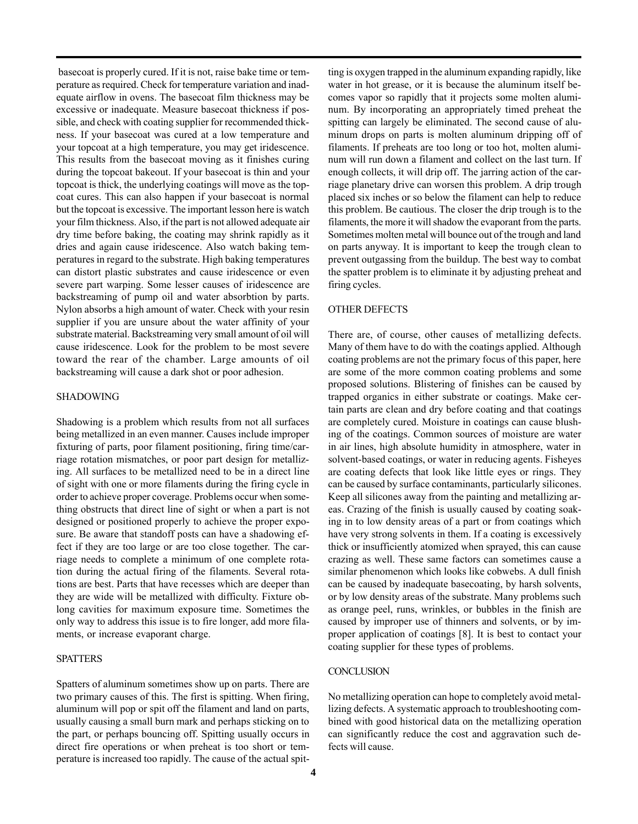basecoat is properly cured. If it is not, raise bake time or temperature as required. Check for temperature variation and inadequate airflow in ovens. The basecoat film thickness may be excessive or inadequate. Measure basecoat thickness if possible, and check with coating supplier for recommended thickness. If your basecoat was cured at a low temperature and your topcoat at a high temperature, you may get iridescence. This results from the basecoat moving as it finishes curing during the topcoat bakeout. If your basecoat is thin and your topcoat is thick, the underlying coatings will move as the topcoat cures. This can also happen if your basecoat is normal but the topcoat is excessive. The important lesson here is watch your film thickness. Also, if the part is not allowed adequate air dry time before baking, the coating may shrink rapidly as it dries and again cause iridescence. Also watch baking temperatures in regard to the substrate. High baking temperatures can distort plastic substrates and cause iridescence or even severe part warping. Some lesser causes of iridescence are backstreaming of pump oil and water absorbtion by parts. Nylon absorbs a high amount of water. Check with your resin supplier if you are unsure about the water affinity of your substrate material. Backstreaming very small amount of oil will cause iridescence. Look for the problem to be most severe toward the rear of the chamber. Large amounts of oil backstreaming will cause a dark shot or poor adhesion.

### SHADOWING

Shadowing is a problem which results from not all surfaces being metallized in an even manner. Causes include improper fixturing of parts, poor filament positioning, firing time/carriage rotation mismatches, or poor part design for metallizing. All surfaces to be metallized need to be in a direct line of sight with one or more filaments during the firing cycle in order to achieve proper coverage. Problems occur when something obstructs that direct line of sight or when a part is not designed or positioned properly to achieve the proper exposure. Be aware that standoff posts can have a shadowing effect if they are too large or are too close together. The carriage needs to complete a minimum of one complete rotation during the actual firing of the filaments. Several rotations are best. Parts that have recesses which are deeper than they are wide will be metallized with difficulty. Fixture oblong cavities for maximum exposure time. Sometimes the only way to address this issue is to fire longer, add more filaments, or increase evaporant charge.

### SPATTERS

Spatters of aluminum sometimes show up on parts. There are two primary causes of this. The first is spitting. When firing, aluminum will pop or spit off the filament and land on parts, usually causing a small burn mark and perhaps sticking on to the part, or perhaps bouncing off. Spitting usually occurs in direct fire operations or when preheat is too short or temperature is increased too rapidly. The cause of the actual spitting is oxygen trapped in the aluminum expanding rapidly, like water in hot grease, or it is because the aluminum itself becomes vapor so rapidly that it projects some molten aluminum. By incorporating an appropriately timed preheat the spitting can largely be eliminated. The second cause of aluminum drops on parts is molten aluminum dripping off of filaments. If preheats are too long or too hot, molten aluminum will run down a filament and collect on the last turn. If enough collects, it will drip off. The jarring action of the carriage planetary drive can worsen this problem. A drip trough placed six inches or so below the filament can help to reduce this problem. Be cautious. The closer the drip trough is to the filaments, the more it will shadow the evaporant from the parts. Sometimes molten metal will bounce out of the trough and land on parts anyway. It is important to keep the trough clean to prevent outgassing from the buildup. The best way to combat the spatter problem is to eliminate it by adjusting preheat and firing cycles.

### OTHER DEFECTS

There are, of course, other causes of metallizing defects. Many of them have to do with the coatings applied. Although coating problems are not the primary focus of this paper, here are some of the more common coating problems and some proposed solutions. Blistering of finishes can be caused by trapped organics in either substrate or coatings. Make certain parts are clean and dry before coating and that coatings are completely cured. Moisture in coatings can cause blushing of the coatings. Common sources of moisture are water in air lines, high absolute humidity in atmosphere, water in solvent-based coatings, or water in reducing agents. Fisheyes are coating defects that look like little eyes or rings. They can be caused by surface contaminants, particularly silicones. Keep all silicones away from the painting and metallizing areas. Crazing of the finish is usually caused by coating soaking in to low density areas of a part or from coatings which have very strong solvents in them. If a coating is excessively thick or insufficiently atomized when sprayed, this can cause crazing as well. These same factors can sometimes cause a similar phenomenon which looks like cobwebs. A dull finish can be caused by inadequate basecoating, by harsh solvents, or by low density areas of the substrate. Many problems such as orange peel, runs, wrinkles, or bubbles in the finish are caused by improper use of thinners and solvents, or by improper application of coatings [8]. It is best to contact your coating supplier for these types of problems.

#### **CONCLUSION**

No metallizing operation can hope to completely avoid metallizing defects. A systematic approach to troubleshooting combined with good historical data on the metallizing operation can significantly reduce the cost and aggravation such defects will cause.